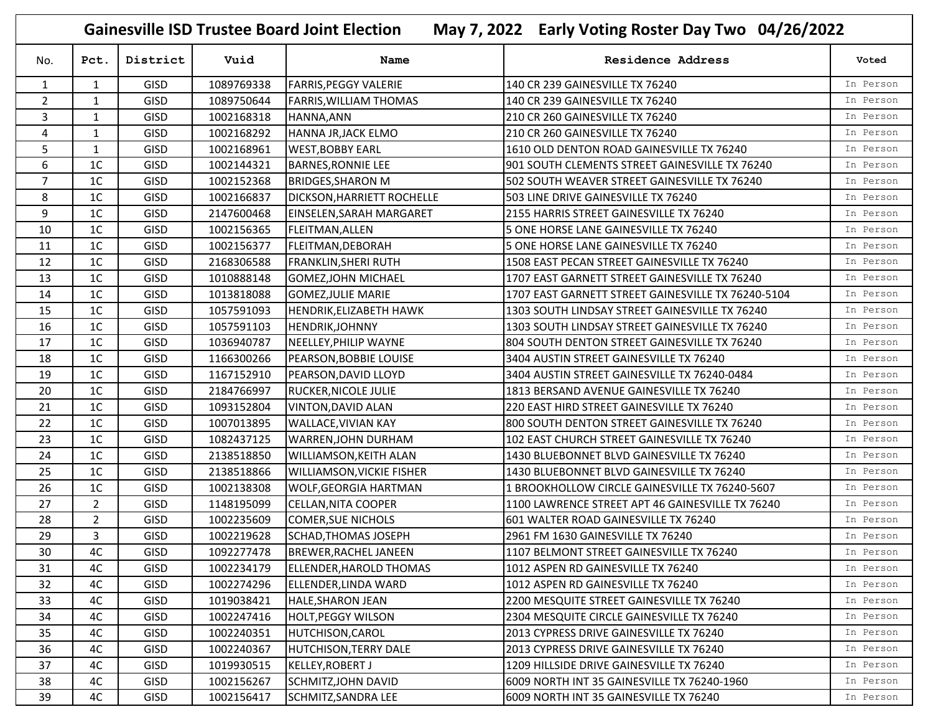| May 7, 2022 Early Voting Roster Day Two 04/26/2022<br><b>Gainesville ISD Trustee Board Joint Election</b> |                |             |            |                                  |                                                    |           |  |  |  |
|-----------------------------------------------------------------------------------------------------------|----------------|-------------|------------|----------------------------------|----------------------------------------------------|-----------|--|--|--|
| No.                                                                                                       | Pct.           | District    | Vuid       | Name                             | Residence Address                                  | Voted     |  |  |  |
| 1                                                                                                         | 1              | <b>GISD</b> | 1089769338 | <b>FARRIS, PEGGY VALERIE</b>     | 140 CR 239 GAINESVILLE TX 76240                    | In Person |  |  |  |
| $\overline{2}$                                                                                            | $\mathbf{1}$   | GISD        | 1089750644 | <b>FARRIS, WILLIAM THOMAS</b>    | 140 CR 239 GAINESVILLE TX 76240                    | In Person |  |  |  |
| 3                                                                                                         | 1              | <b>GISD</b> | 1002168318 | HANNA, ANN                       | 210 CR 260 GAINESVILLE TX 76240                    | In Person |  |  |  |
| 4                                                                                                         | 1              | GISD        | 1002168292 | HANNA JR, JACK ELMO              | 210 CR 260 GAINESVILLE TX 76240                    | In Person |  |  |  |
| 5                                                                                                         | 1              | <b>GISD</b> | 1002168961 | <b>WEST, BOBBY EARL</b>          | 1610 OLD DENTON ROAD GAINESVILLE TX 76240          | In Person |  |  |  |
| 6                                                                                                         | 1 <sup>C</sup> | GISD        | 1002144321 | <b>BARNES, RONNIE LEE</b>        | 901 SOUTH CLEMENTS STREET GAINESVILLE TX 76240     | In Person |  |  |  |
| $\overline{7}$                                                                                            | 1 <sup>C</sup> | <b>GISD</b> | 1002152368 | <b>BRIDGES, SHARON M</b>         | 502 SOUTH WEAVER STREET GAINESVILLE TX 76240       | In Person |  |  |  |
| 8                                                                                                         | 1 <sup>C</sup> | GISD        | 1002166837 | DICKSON, HARRIETT ROCHELLE       | 503 LINE DRIVE GAINESVILLE TX 76240                | In Person |  |  |  |
| 9                                                                                                         | 1 <sup>C</sup> | <b>GISD</b> | 2147600468 | EINSELEN, SARAH MARGARET         | 2155 HARRIS STREET GAINESVILLE TX 76240            | In Person |  |  |  |
| 10                                                                                                        | 1 <sup>C</sup> | GISD        | 1002156365 | <b>FLEITMAN, ALLEN</b>           | 5 ONE HORSE LANE GAINESVILLE TX 76240              | In Person |  |  |  |
| 11                                                                                                        | 1C             | GISD        | 1002156377 | <b>FLEITMAN, DEBORAH</b>         | 5 ONE HORSE LANE GAINESVILLE TX 76240              | In Person |  |  |  |
| 12                                                                                                        | 1 <sup>C</sup> | <b>GISD</b> | 2168306588 | <b>FRANKLIN, SHERI RUTH</b>      | 1508 EAST PECAN STREET GAINESVILLE TX 76240        | In Person |  |  |  |
| 13                                                                                                        | 1C             | GISD        | 1010888148 | <b>GOMEZ, JOHN MICHAEL</b>       | 1707 EAST GARNETT STREET GAINESVILLE TX 76240      | In Person |  |  |  |
| 14                                                                                                        | 1 <sup>C</sup> | <b>GISD</b> | 1013818088 | <b>GOMEZ, JULIE MARIE</b>        | 1707 EAST GARNETT STREET GAINESVILLE TX 76240-5104 | In Person |  |  |  |
| 15                                                                                                        | 1 <sup>C</sup> | GISD        | 1057591093 | <b>HENDRIK, ELIZABETH HAWK</b>   | 1303 SOUTH LINDSAY STREET GAINESVILLE TX 76240     | In Person |  |  |  |
| 16                                                                                                        | 1 <sup>C</sup> | <b>GISD</b> | 1057591103 | HENDRIK, JOHNNY                  | 1303 SOUTH LINDSAY STREET GAINESVILLE TX 76240     | In Person |  |  |  |
| 17                                                                                                        | 1C             | <b>GISD</b> | 1036940787 | NEELLEY, PHILIP WAYNE            | 804 SOUTH DENTON STREET GAINESVILLE TX 76240       | In Person |  |  |  |
| 18                                                                                                        | 1 <sup>C</sup> | <b>GISD</b> | 1166300266 | PEARSON, BOBBIE LOUISE           | 3404 AUSTIN STREET GAINESVILLE TX 76240            | In Person |  |  |  |
| 19                                                                                                        | 1 <sup>C</sup> | <b>GISD</b> | 1167152910 | PEARSON, DAVID LLOYD             | 3404 AUSTIN STREET GAINESVILLE TX 76240-0484       | In Person |  |  |  |
| 20                                                                                                        | 1C             | GISD        | 2184766997 | RUCKER, NICOLE JULIE             | 1813 BERSAND AVENUE GAINESVILLE TX 76240           | In Person |  |  |  |
| 21                                                                                                        | 1 <sup>C</sup> | <b>GISD</b> | 1093152804 | <b>VINTON, DAVID ALAN</b>        | 220 EAST HIRD STREET GAINESVILLE TX 76240          | In Person |  |  |  |
| 22                                                                                                        | 1 <sup>C</sup> | <b>GISD</b> | 1007013895 | <b>WALLACE, VIVIAN KAY</b>       | 800 SOUTH DENTON STREET GAINESVILLE TX 76240       | In Person |  |  |  |
| 23                                                                                                        | 1C             | <b>GISD</b> | 1082437125 | WARREN, JOHN DURHAM              | 102 EAST CHURCH STREET GAINESVILLE TX 76240        | In Person |  |  |  |
| 24                                                                                                        | 1 <sup>C</sup> | <b>GISD</b> | 2138518850 | <b>WILLIAMSON, KEITH ALAN</b>    | 1430 BLUEBONNET BLVD GAINESVILLE TX 76240          | In Person |  |  |  |
| 25                                                                                                        | 1 <sup>C</sup> | <b>GISD</b> | 2138518866 | <b>WILLIAMSON, VICKIE FISHER</b> | 1430 BLUEBONNET BLVD GAINESVILLE TX 76240          | In Person |  |  |  |
| 26                                                                                                        | 1 <sup>C</sup> | <b>GISD</b> | 1002138308 | <b>WOLF, GEORGIA HARTMAN</b>     | 1 BROOKHOLLOW CIRCLE GAINESVILLE TX 76240-5607     | In Person |  |  |  |
| 27                                                                                                        | $\overline{2}$ | <b>GISD</b> | 1148195099 | <b>CELLAN, NITA COOPER</b>       | 1100 LAWRENCE STREET APT 46 GAINESVILLE TX 76240   | In Person |  |  |  |
| 28                                                                                                        | $\overline{2}$ | <b>GISD</b> | 1002235609 | <b>COMER, SUE NICHOLS</b>        | 601 WALTER ROAD GAINESVILLE TX 76240               | In Person |  |  |  |
| 29                                                                                                        | 3              | <b>GISD</b> | 1002219628 | <b>SCHAD, THOMAS JOSEPH</b>      | 2961 FM 1630 GAINESVILLE TX 76240                  | In Person |  |  |  |
| 30                                                                                                        | 4C             | <b>GISD</b> | 1092277478 | BREWER, RACHEL JANEEN            | 1107 BELMONT STREET GAINESVILLE TX 76240           | In Person |  |  |  |
| 31                                                                                                        | 4C             | <b>GISD</b> | 1002234179 | ELLENDER, HAROLD THOMAS          | 1012 ASPEN RD GAINESVILLE TX 76240                 | In Person |  |  |  |
| 32                                                                                                        | 4C             | <b>GISD</b> | 1002274296 | ELLENDER,LINDA WARD              | 1012 ASPEN RD GAINESVILLE TX 76240                 | In Person |  |  |  |
| 33                                                                                                        | 4C             | <b>GISD</b> | 1019038421 | <b>HALE, SHARON JEAN</b>         | 2200 MESQUITE STREET GAINESVILLE TX 76240          | In Person |  |  |  |
| 34                                                                                                        | 4C             | <b>GISD</b> | 1002247416 | <b>HOLT, PEGGY WILSON</b>        | 2304 MESQUITE CIRCLE GAINESVILLE TX 76240          | In Person |  |  |  |
| 35                                                                                                        | 4C             | <b>GISD</b> | 1002240351 | <b>HUTCHISON, CAROL</b>          | 2013 CYPRESS DRIVE GAINESVILLE TX 76240            | In Person |  |  |  |
| 36                                                                                                        | 4C             | <b>GISD</b> | 1002240367 | <b>HUTCHISON, TERRY DALE</b>     | 2013 CYPRESS DRIVE GAINESVILLE TX 76240            | In Person |  |  |  |
| 37                                                                                                        | 4C             | <b>GISD</b> | 1019930515 | <b>KELLEY, ROBERT J</b>          | 1209 HILLSIDE DRIVE GAINESVILLE TX 76240           | In Person |  |  |  |
| 38                                                                                                        | 4C             | <b>GISD</b> | 1002156267 | <b>SCHMITZ, JOHN DAVID</b>       | 6009 NORTH INT 35 GAINESVILLE TX 76240-1960        | In Person |  |  |  |
| 39                                                                                                        | 4C             | <b>GISD</b> | 1002156417 | SCHMITZ, SANDRA LEE              | 6009 NORTH INT 35 GAINESVILLE TX 76240             | In Person |  |  |  |